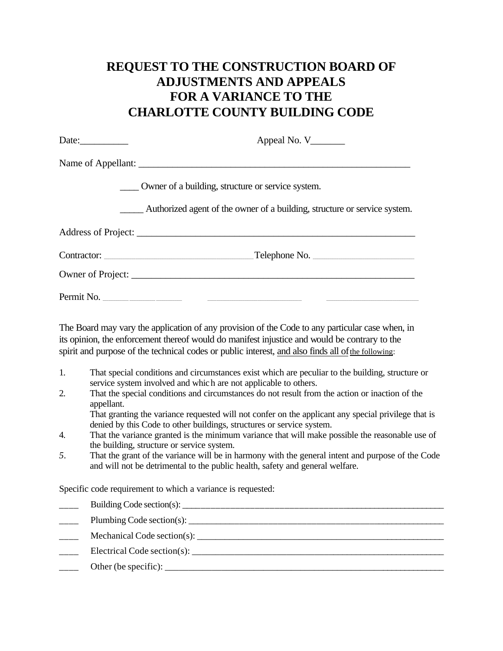## **REQUEST TO THE CONSTRUCTION BOARD OF ADJUSTMENTS AND APPEALS FOR A VARIANCE TO THE CHARLOTTE COUNTY BUILDING CODE**

| Date: $\qquad \qquad$ | Appeal No. $V$                                                            |
|-----------------------|---------------------------------------------------------------------------|
|                       |                                                                           |
|                       | Owner of a building, structure or service system.                         |
|                       | Authorized agent of the owner of a building, structure or service system. |
|                       |                                                                           |
|                       | $\Gamma$ elephone No.                                                     |
|                       |                                                                           |
|                       |                                                                           |

The Board may vary the application of any provision of the Code to any particular case when, in its opinion, the enforcement thereof would do manifest injustice and would be contrary to the spirit and purpose of the technical codes or public interest, and also finds all of the following:

- 1. That special conditions and circumstances exist which are peculiar to the building, structure or service system involved and which are not applicable to others.
- 2. That the special conditions and circumstances do not result from the action or inaction of the appellant.

That granting the variance requested will not confer on the applicant any special privilege that is denied by this Code to other buildings, structures or service system.

- 4. That the variance granted is the minimum variance that will make possible the reasonable use of the building, structure or service system.
- *5.* That the grant of the variance will be in harmony with the general intent and purpose of the Code and will not be detrimental to the public health, safety and general welfare.

Specific code requirement to which a variance is requested:

| Mechanical Code section(s): |
|-----------------------------|
|                             |
|                             |
|                             |